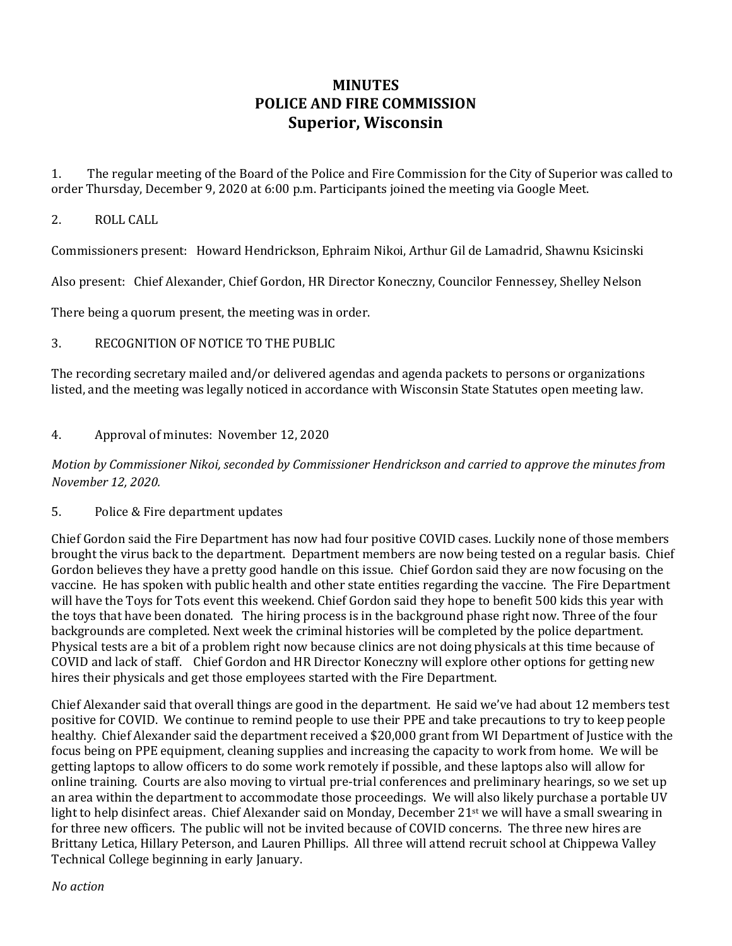## **MINUTES POLICE AND FIRE COMMISSION Superior, Wisconsin**

1. The regular meeting of the Board of the Police and Fire Commission for the City of Superior was called to order Thursday, December 9, 2020 at 6:00 p.m. Participants joined the meeting via Google Meet.

## 2. ROLL CALL

Commissioners present: Howard Hendrickson, Ephraim Nikoi, Arthur Gil de Lamadrid, Shawnu Ksicinski

Also present: Chief Alexander, Chief Gordon, HR Director Koneczny, Councilor Fennessey, Shelley Nelson

There being a quorum present, the meeting was in order.

## 3. RECOGNITION OF NOTICE TO THE PUBLIC

The recording secretary mailed and/or delivered agendas and agenda packets to persons or organizations listed, and the meeting was legally noticed in accordance with Wisconsin State Statutes open meeting law.

## 4. Approval of minutes: November 12, 2020

*Motion by Commissioner Nikoi, seconded by Commissioner Hendrickson and carried to approve the minutes from November 12, 2020.*

5. Police & Fire department updates

Chief Gordon said the Fire Department has now had four positive COVID cases. Luckily none of those members brought the virus back to the department. Department members are now being tested on a regular basis. Chief Gordon believes they have a pretty good handle on this issue. Chief Gordon said they are now focusing on the vaccine. He has spoken with public health and other state entities regarding the vaccine. The Fire Department will have the Toys for Tots event this weekend. Chief Gordon said they hope to benefit 500 kids this year with the toys that have been donated. The hiring process is in the background phase right now. Three of the four backgrounds are completed. Next week the criminal histories will be completed by the police department. Physical tests are a bit of a problem right now because clinics are not doing physicals at this time because of COVID and lack of staff. Chief Gordon and HR Director Koneczny will explore other options for getting new hires their physicals and get those employees started with the Fire Department.

Chief Alexander said that overall things are good in the department. He said we've had about 12 members test positive for COVID. We continue to remind people to use their PPE and take precautions to try to keep people healthy. Chief Alexander said the department received a \$20,000 grant from WI Department of Justice with the focus being on PPE equipment, cleaning supplies and increasing the capacity to work from home. We will be getting laptops to allow officers to do some work remotely if possible, and these laptops also will allow for online training. Courts are also moving to virtual pre-trial conferences and preliminary hearings, so we set up an area within the department to accommodate those proceedings. We will also likely purchase a portable UV light to help disinfect areas. Chief Alexander said on Monday, December 21<sup>st</sup> we will have a small swearing in for three new officers. The public will not be invited because of COVID concerns. The three new hires are Brittany Letica, Hillary Peterson, and Lauren Phillips. All three will attend recruit school at Chippewa Valley Technical College beginning in early January.

*No action*